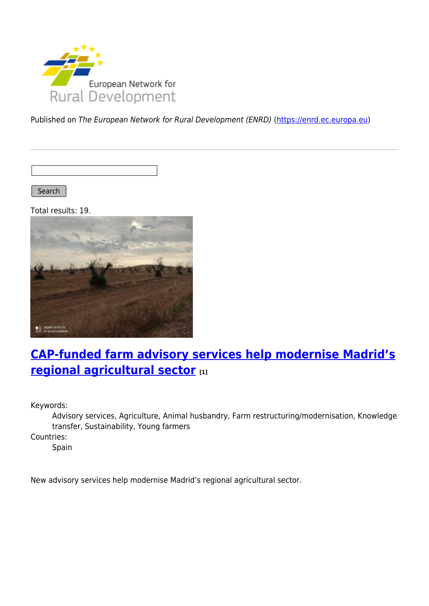

Published on The European Network for Rural Development (ENRD) [\(https://enrd.ec.europa.eu](https://enrd.ec.europa.eu))

Search

Total results: 19.



# **[CAP-funded farm advisory services help modernise Madrid's](https://enrd.ec.europa.eu/projects-practice/cap-funded-farm-advisory-services-help-modernise-madrids-regional-agricultural_en) [regional agricultural sector](https://enrd.ec.europa.eu/projects-practice/cap-funded-farm-advisory-services-help-modernise-madrids-regional-agricultural_en) [1]**

Keywords:

Advisory services, Agriculture, Animal husbandry, Farm restructuring/modernisation, Knowledge transfer, Sustainability, Young farmers

Countries:

Spain

New advisory services help modernise Madrid's regional agricultural sector.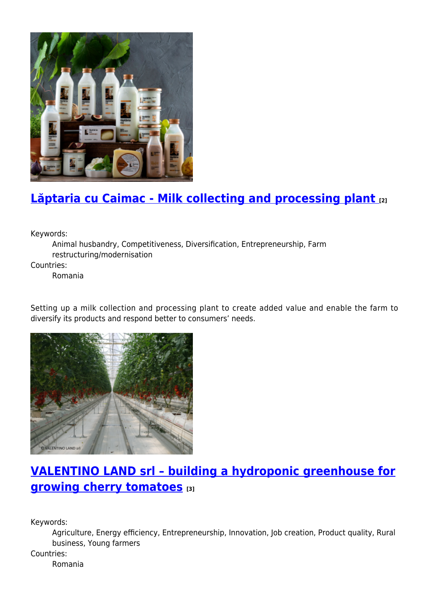

# **[Lăptaria cu Caimac - Milk collecting and processing plant](https://enrd.ec.europa.eu/projects-practice/laptaria-cu-caimac-milk-collecting-and-processing-plant_en) [2]**

Keywords:

Animal husbandry, Competitiveness, Diversification, Entrepreneurship, Farm restructuring/modernisation

Countries:

Romania

Setting up a milk collection and processing plant to create added value and enable the farm to diversify its products and respond better to consumers' needs.



# **[VALENTINO LAND srl – building a hydroponic greenhouse for](https://enrd.ec.europa.eu/projects-practice/valentino-land-srl-building-hydroponic-greenhouse-growing-cherry-tomatoes_en) [growing cherry tomatoes](https://enrd.ec.europa.eu/projects-practice/valentino-land-srl-building-hydroponic-greenhouse-growing-cherry-tomatoes_en) [3]**

Keywords:

Agriculture, Energy efficiency, Entrepreneurship, Innovation, Job creation, Product quality, Rural business, Young farmers

Countries:

Romania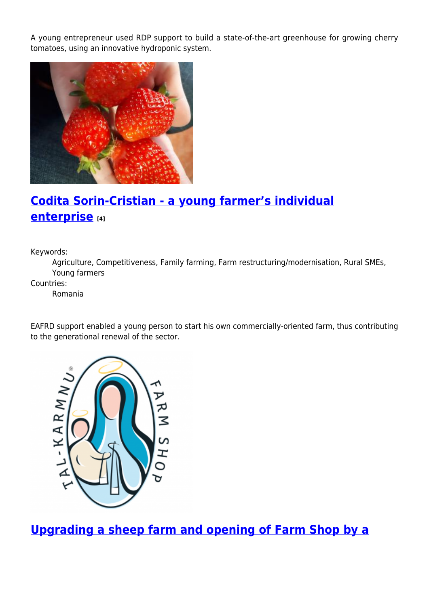A young entrepreneur used RDP support to build a state-of-the-art greenhouse for growing cherry tomatoes, using an innovative hydroponic system.



# **[Codita Sorin-Cristian - a young farmer's individual](https://enrd.ec.europa.eu/projects-practice/codita-sorin-cristian-young-farmers-individual-enterprise_en) [enterprise](https://enrd.ec.europa.eu/projects-practice/codita-sorin-cristian-young-farmers-individual-enterprise_en) [4]**

Keywords:

Agriculture, Competitiveness, Family farming, Farm restructuring/modernisation, Rural SMEs, Young farmers

Countries:

Romania

EAFRD support enabled a young person to start his own commercially-oriented farm, thus contributing to the generational renewal of the sector.



**[Upgrading a sheep farm and opening of Farm Shop by a](https://enrd.ec.europa.eu/projects-practice/upgrading-sheep-farm-and-opening-farm-shop-maltese-young-farmer_en)**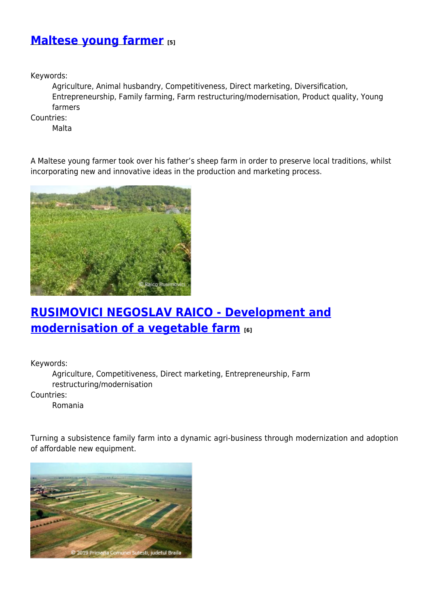### **[Maltese young farmer](https://enrd.ec.europa.eu/projects-practice/upgrading-sheep-farm-and-opening-farm-shop-maltese-young-farmer_en) [5]**

Keywords:

Agriculture, Animal husbandry, Competitiveness, Direct marketing, Diversification, Entrepreneurship, Family farming, Farm restructuring/modernisation, Product quality, Young farmers

Countries:

Malta

A Maltese young farmer took over his father's sheep farm in order to preserve local traditions, whilst incorporating new and innovative ideas in the production and marketing process.



### **[RUSIMOVICI NEGOSLAV RAICO - Development and](https://enrd.ec.europa.eu/projects-practice/rusimovici-negoslav-raico-development-and-modernisation-vegetable-farm_en) [modernisation of a vegetable farm](https://enrd.ec.europa.eu/projects-practice/rusimovici-negoslav-raico-development-and-modernisation-vegetable-farm_en) [6]**

Keywords:

Agriculture, Competitiveness, Direct marketing, Entrepreneurship, Farm restructuring/modernisation Countries:

Romania

Turning a subsistence family farm into a dynamic agri-business through modernization and adoption of affordable new equipment.

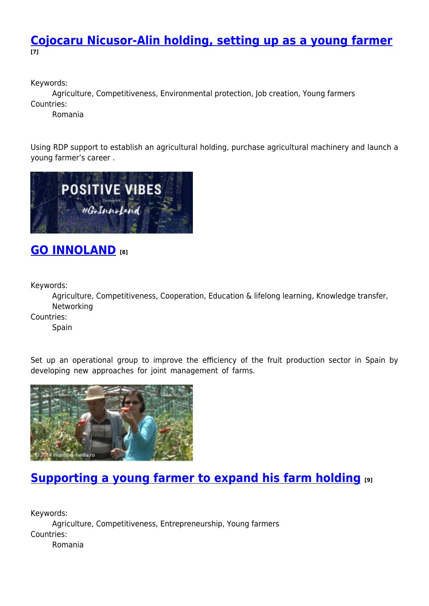#### **[Cojocaru Nicusor-Alin holding, setting up as a young farmer](https://enrd.ec.europa.eu/projects-practice/cojocaru-nicusor-alin-holding-setting-young-farmer_en) [7]**

Keywords:

Agriculture, Competitiveness, Environmental protection, Job creation, Young farmers Countries:

Romania

Using RDP support to establish an agricultural holding, purchase agricultural machinery and launch a young farmer's career .



### **[GO INNOLAND](https://enrd.ec.europa.eu/projects-practice/go-innoland_en) [8]**

Keywords:

Agriculture, Competitiveness, Cooperation, Education & lifelong learning, Knowledge transfer, Networking

Countries:

Spain

Set up an operational group to improve the efficiency of the fruit production sector in Spain by developing new approaches for joint management of farms.



### **[Supporting a young farmer to expand his farm holding](https://enrd.ec.europa.eu/projects-practice/supporting-young-farmer-expand-his-farm-holding_en) [9]**

Keywords: Agriculture, Competitiveness, Entrepreneurship, Young farmers Countries: Romania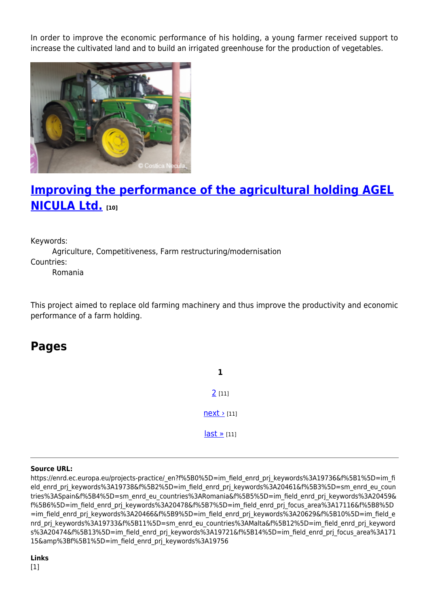In order to improve the economic performance of his holding, a young farmer received support to increase the cultivated land and to build an irrigated greenhouse for the production of vegetables.



### **[Improving the performance of the agricultural holding AGEL](https://enrd.ec.europa.eu/projects-practice/improving-performance-agricultural-holding-agel-nicula-ltd_en) [NICULA Ltd.](https://enrd.ec.europa.eu/projects-practice/improving-performance-agricultural-holding-agel-nicula-ltd_en) [10]**

Keywords:

Agriculture, Competitiveness, Farm restructuring/modernisation Countries: Romania

This project aimed to replace old farming machinery and thus improve the productivity and economic performance of a farm holding.

### **Pages**

**1** [2](https://enrd.ec.europa.eu/projects-practice/_en?page=1&f%5B0%5D=im_field_enrd_prj_keywords%3A19736&f%5B1%5D=im_field_enrd_prj_keywords%3A19738&f%5B2%5D=im_field_enrd_prj_keywords%3A20461&f%5B3%5D=sm_enrd_eu_countries%3ASpain&f%5B4%5D=sm_enrd_eu_countries%3ARomania&f%5B5%5D=im_field_enrd_prj_keywords%3A20459&f%5B6%5D=im_field_enrd_prj_keywords%3A20478&f%5B7%5D=im_field_enrd_prj_focus_area%3A17116&f%5B8%5D=im_field_enrd_prj_keywords%3A20466&f%5B9%5D=im_field_enrd_prj_keywords%3A20629&f%5B10%5D=im_field_enrd_prj_keywords%3A19733&f%5B11%5D=sm_enrd_eu_countries%3AMalta&f%5B12%5D=im_field_enrd_prj_keywords%3A20474&f%5B13%5D=im_field_enrd_prj_keywords%3A19721&f%5B14%5D=im_field_enrd_prj_focus_area%3A17115&%3Bf%5B1%5D=im_field_enrd_prj_keywords%3A19756) [11]  $next$  [11]  $last \times [11]$ 

#### **Source URL:**

https://enrd.ec.europa.eu/projects-practice/\_en?f%5B0%5D=im\_field\_enrd\_prj\_keywords%3A19736&f%5B1%5D=im\_fi eld enrd prj keywords%3A19738&f%5B2%5D=im field enrd prj keywords%3A20461&f%5B3%5D=sm enrd eu coun tries%3ASpain&f%5B4%5D=sm\_enrd\_eu\_countries%3ARomania&f%5B5%5D=im\_field\_enrd\_prj\_keywords%3A20459& f%5B6%5D=im\_field\_enrd\_prj\_keywords%3A20478&f%5B7%5D=im\_field\_enrd\_prj\_focus\_area%3A17116&f%5B8%5D =im\_field\_enrd\_prj\_keywords%3A20466&f%5B9%5D=im\_field\_enrd\_prj\_keywords%3A20629&f%5B10%5D=im\_field\_e nrd prj keywords%3A19733&f%5B11%5D=sm\_enrd\_eu\_countries%3AMalta&f%5B12%5D=im\_field\_enrd\_prj\_keyword s%3A20474&f%5B13%5D=im\_field\_enrd\_prj\_keywords%3A19721&f%5B14%5D=im\_field\_enrd\_prj\_focus\_area%3A171 15&amp%3Bf%5B1%5D=im\_field\_enrd\_prj\_keywords%3A19756

#### **Links**

[1]